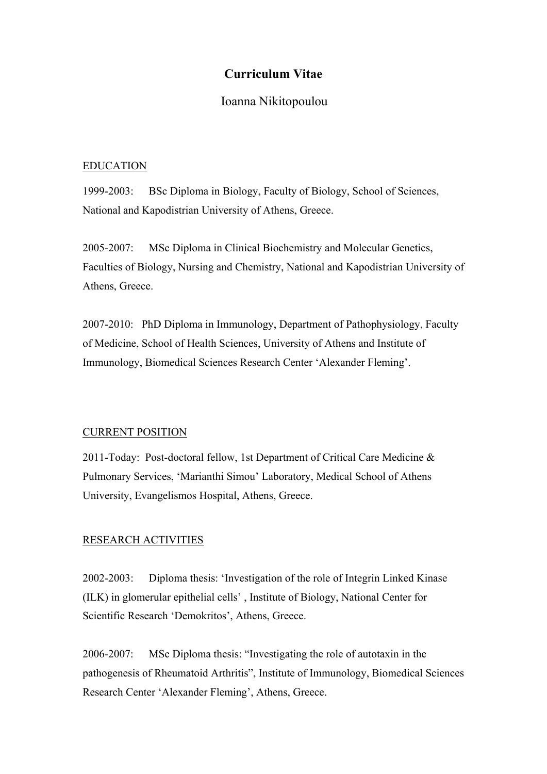# **Curriculum Vitae**

## Ioanna Nikitopoulou

#### EDUCATION

1999-2003: BSc Diploma in Biology, Faculty of Biology, School of Sciences, National and Kapodistrian University of Athens, Greece.

2005-2007: MSc Diploma in Clinical Biochemistry and Molecular Genetics, Faculties of Biology, Nursing and Chemistry, National and Kapodistrian University of Athens, Greece.

2007-2010: PhD Diploma in Immunology, Department of Pathophysiology, Faculty of Medicine, School of Health Sciences, University of Athens and Institute of Immunology, Biomedical Sciences Research Center 'Alexander Fleming'.

## CURRENT POSITION

2011-Today: Post-doctoral fellow, 1st Department of Critical Care Medicine & Pulmonary Services, 'Marianthi Simou' Laboratory, Medical School of Athens University, Evangelismos Hospital, Athens, Greece.

## RESEARCH ACTIVITIES

2002-2003: Diploma thesis: 'Investigation of the role of Integrin Linked Kinase (ILK) in glomerular epithelial cells' , Institute of Biology, National Center for Scientific Research 'Demokritos', Athens, Greece.

2006-2007: MSc Diploma thesis: "Investigating the role of autotaxin in the pathogenesis of Rheumatoid Arthritis", Institute of Immunology, Biomedical Sciences Research Center 'Alexander Fleming', Athens, Greece.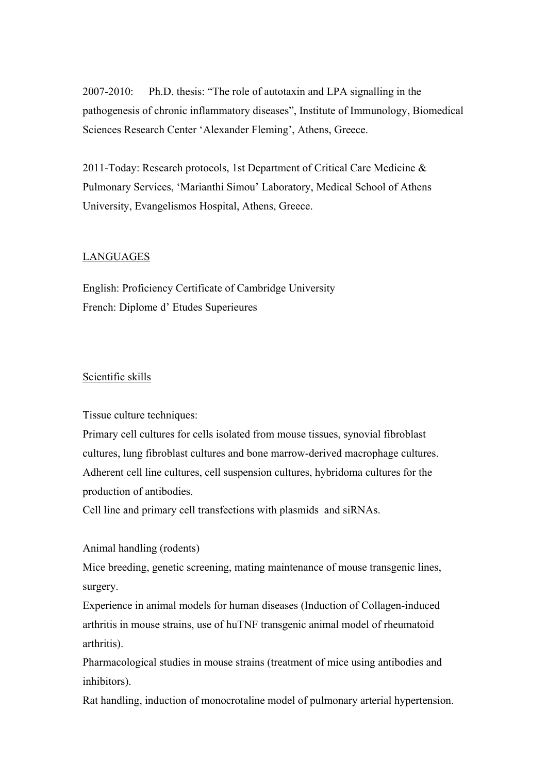2007-2010: Ph.D. thesis: "The role of autotaxin and LPA signalling in the pathogenesis of chronic inflammatory diseases", Institute of Immunology, Biomedical Sciences Research Center 'Alexander Fleming', Athens, Greece.

2011-Today: Research protocols, 1st Department of Critical Care Medicine & Pulmonary Services, 'Marianthi Simou' Laboratory, Medical School of Athens University, Evangelismos Hospital, Athens, Greece.

## LANGUAGES

English: Proficiency Certificate of Cambridge University French: Diplome d' Etudes Superieures

#### Scientific skills

Tissue culture techniques:

Primary cell cultures for cells isolated from mouse tissues, synovial fibroblast cultures, lung fibroblast cultures and bone marrow-derived macrophage cultures. Adherent cell line cultures, cell suspension cultures, hybridoma cultures for the production of antibodies.

Cell line and primary cell transfections with plasmids and siRNAs.

Animal handling (rodents)

Mice breeding, genetic screening, mating maintenance of mouse transgenic lines, surgery.

Experience in animal models for human diseases (Induction of Collagen-induced arthritis in mouse strains, use of huTNF transgenic animal model of rheumatoid arthritis).

Pharmacological studies in mouse strains (treatment of mice using antibodies and inhibitors).

Rat handling, induction of monocrotaline model of pulmonary arterial hypertension.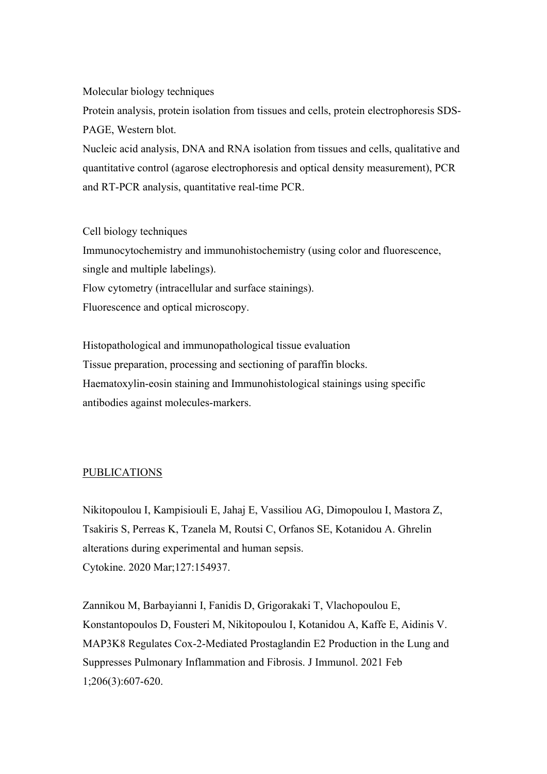Molecular biology techniques

Protein analysis, protein isolation from tissues and cells, protein electrophoresis SDS-PAGE, Western blot.

Nucleic acid analysis, DNA and RNA isolation from tissues and cells, qualitative and quantitative control (agarose electrophoresis and optical density measurement), PCR and RT-PCR analysis, quantitative real-time PCR.

Cell biology techniques Immunocytochemistry and immunohistochemistry (using color and fluorescence, single and multiple labelings). Flow cytometry (intracellular and surface stainings). Fluorescence and optical microscopy.

Histopathological and immunopathological tissue evaluation Tissue preparation, processing and sectioning of paraffin blocks. Haematoxylin-eosin staining and Immunohistological stainings using specific antibodies against molecules-markers.

## PUBLICATIONS

Nikitopoulou I, Kampisiouli E, Jahaj E, Vassiliou AG, Dimopoulou I, Mastora Z, Tsakiris S, Perreas K, Tzanela M, Routsi C, Orfanos SE, Kotanidou A. Ghrelin alterations during experimental and human sepsis. Cytokine. 2020 Mar;127:154937.

Zannikou M, Barbayianni I, Fanidis D, Grigorakaki T, Vlachopoulou E, Konstantopoulos D, Fousteri M, Nikitopoulou I, Kotanidou A, Kaffe E, Aidinis V. MAP3K8 Regulates Cox-2-Mediated Prostaglandin E2 Production in the Lung and Suppresses Pulmonary Inflammation and Fibrosis. J Immunol. 2021 Feb 1;206(3):607-620.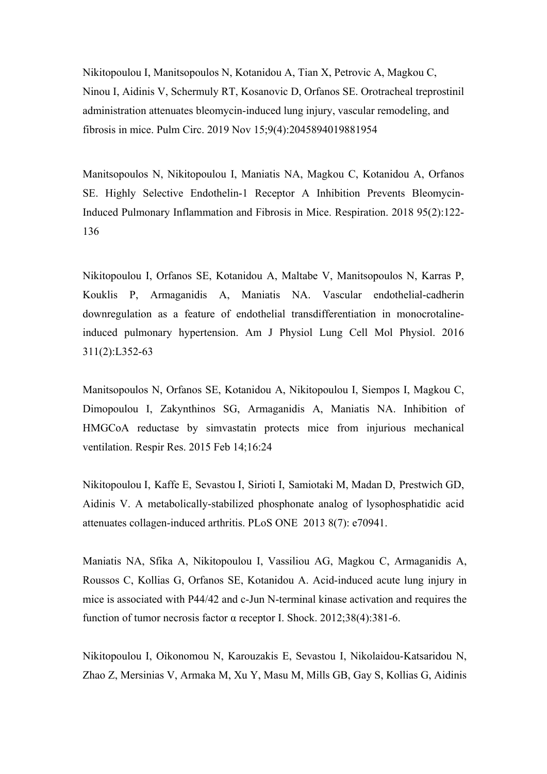Nikitopoulou I, Manitsopoulos N, Kotanidou A, Tian X, Petrovic A, Magkou C, Ninou I, Aidinis V, Schermuly RT, Kosanovic D, Orfanos SE. Orotracheal treprostinil administration attenuates bleomycin-induced lung injury, vascular remodeling, and fibrosis in mice. Pulm Circ. 2019 Nov 15;9(4):2045894019881954

Manitsopoulos N, Nikitopoulou I, Maniatis NA, Magkou C, Kotanidou A, Orfanos SE. Highly Selective Endothelin-1 Receptor A Inhibition Prevents Bleomycin-Induced Pulmonary Inflammation and Fibrosis in Mice. Respiration. 2018 95(2):122- 136

Nikitopoulou I, Orfanos SE, Kotanidou A, Maltabe V, Manitsopoulos N, Karras P, Kouklis P, Armaganidis A, Maniatis NA. Vascular endothelial-cadherin downregulation as a feature of endothelial transdifferentiation in monocrotalineinduced pulmonary hypertension. Am J Physiol Lung Cell Mol Physiol. 2016 311(2):L352-63

Manitsopoulos N, Orfanos SE, Kotanidou A, Nikitopoulou I, Siempos I, Magkou C, Dimopoulou I, Zakynthinos SG, Armaganidis A, Maniatis NA. Inhibition of HMGCoA reductase by simvastatin protects mice from injurious mechanical ventilation. Respir Res. 2015 Feb 14;16:24

Nikitopoulou I, Kaffe E, Sevastou I, Sirioti I, Samiotaki M, Madan D, Prestwich GD, Aidinis V. A metabolically-stabilized phosphonate analog of lysophosphatidic acid attenuates collagen-induced arthritis. PLoS ONE 2013 8(7): e70941.

Maniatis NA, Sfika A, Nikitopoulou I, Vassiliou AG, Magkou C, Armaganidis A, Roussos C, Kollias G, Orfanos SE, Kotanidou A. Acid-induced acute lung injury in mice is associated with P44/42 and c-Jun N-terminal kinase activation and requires the function of tumor necrosis factor α receptor I. Shock. 2012;38(4):381-6.

Nikitopoulou I, Oikonomou N, Karouzakis E, Sevastou I, Nikolaidou-Katsaridou N, Zhao Z, Mersinias V, Armaka M, Xu Y, Masu M, Mills GB, Gay S, Kollias G, Aidinis